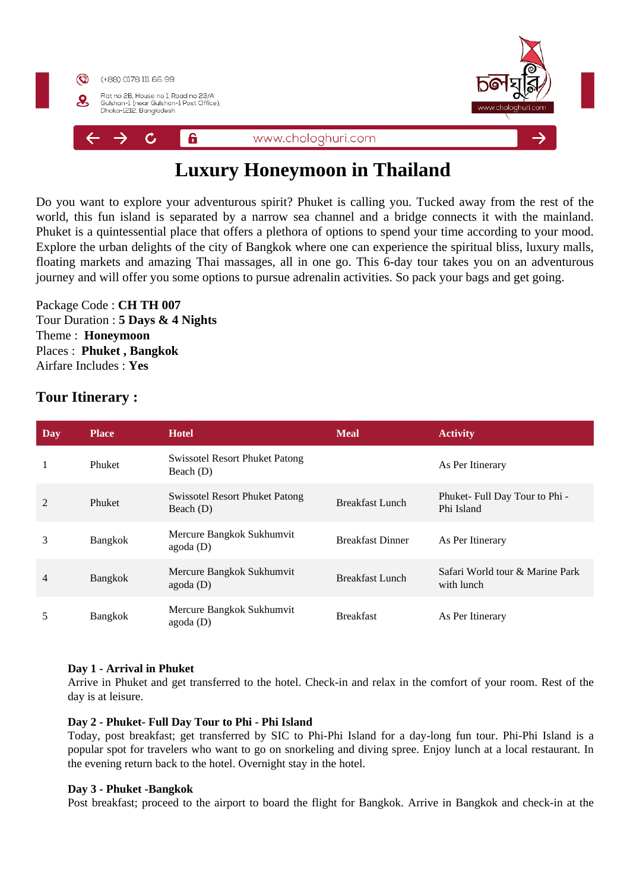

# **Luxury Honeymoon in Thailand**

Do you want to explore your adventurous spirit? Phuket is calling you. Tucked away from the rest of the world, this fun island is separated by a narrow sea channel and a bridge connects it with the mainland. Phuket is a quintessential place that offers a plethora of options to spend your time according to your mood. Explore the urban delights of the city of Bangkok where one can experience the spiritual bliss, luxury malls, floating markets and amazing Thai massages, all in one go. This 6-day tour takes you on an adventurous journey and will offer you some options to pursue adrenalin activities. So pack your bags and get going.

Package Code : **CH TH 007** Tour Duration : **5 Days & 4 Nights** Theme : **Honeymoon**  Places : **Phuket , Bangkok**  Airfare Includes : **Yes**

## **Tour Itinerary :**

| Day            | <b>Place</b>   | <b>Hotel</b>                                         | <b>Meal</b>             | <b>Activity</b>                               |
|----------------|----------------|------------------------------------------------------|-------------------------|-----------------------------------------------|
|                | Phuket         | <b>Swissotel Resort Phuket Patong</b><br>Beach (D)   |                         | As Per Itinerary                              |
| $\overline{2}$ | Phuket         | <b>Swissotel Resort Phuket Patong</b><br>Beach $(D)$ | <b>Breakfast Lunch</b>  | Phuket-Full Day Tour to Phi -<br>Phi Island   |
| 3              | Bangkok        | Mercure Bangkok Sukhumvit<br>agoda(D)                | <b>Breakfast Dinner</b> | As Per Itinerary                              |
| $\overline{4}$ | <b>Bangkok</b> | Mercure Bangkok Sukhumvit<br>agoda(D)                | <b>Breakfast Lunch</b>  | Safari World tour & Marine Park<br>with lunch |
| 5              | <b>Bangkok</b> | Mercure Bangkok Sukhumvit<br>$a$ goda $(D)$          | <b>Breakfast</b>        | As Per Itinerary                              |

### **Day 1 - Arrival in Phuket**

Arrive in Phuket and get transferred to the hotel. Check-in and relax in the comfort of your room. Rest of the day is at leisure.

#### **Day 2 - Phuket- Full Day Tour to Phi - Phi Island**

Today, post breakfast; get transferred by SIC to Phi-Phi Island for a day-long fun tour. Phi-Phi Island is a popular spot for travelers who want to go on snorkeling and diving spree. Enjoy lunch at a local restaurant. In the evening return back to the hotel. Overnight stay in the hotel.

#### **Day 3 - Phuket -Bangkok**

Post breakfast; proceed to the airport to board the flight for Bangkok. Arrive in Bangkok and check-in at the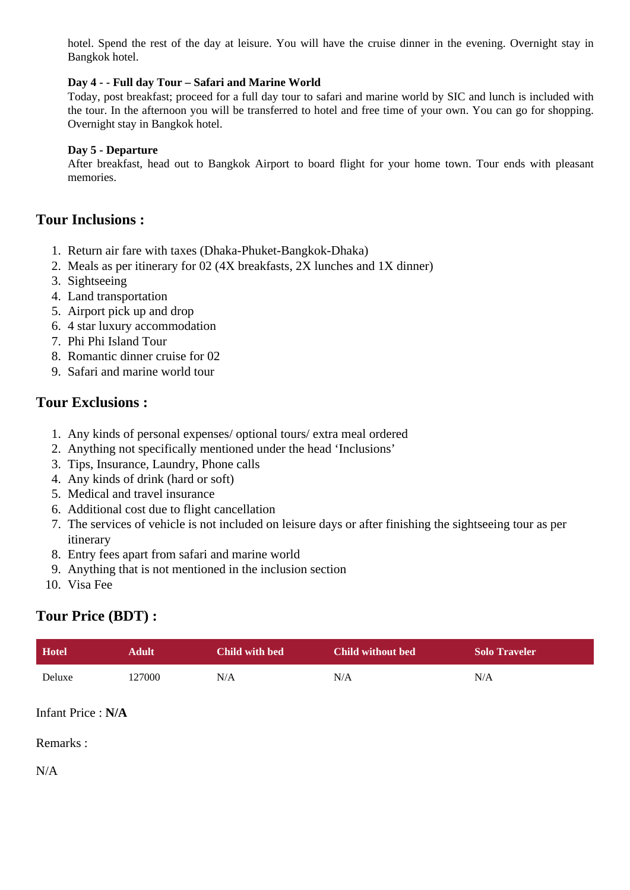hotel. Spend the rest of the day at leisure. You will have the cruise dinner in the evening. Overnight stay in Bangkok hotel.

### **Day 4 - - Full day Tour – Safari and Marine World**

Today, post breakfast; proceed for a full day tour to safari and marine world by SIC and lunch is included with the tour. In the afternoon you will be transferred to hotel and free time of your own. You can go for shopping. Overnight stay in Bangkok hotel.

#### **Day 5 - Departure**

After breakfast, head out to Bangkok Airport to board flight for your home town. Tour ends with pleasant memories.

## **Tour Inclusions :**

- 1. Return air fare with taxes (Dhaka-Phuket-Bangkok-Dhaka)
- 2. Meals as per itinerary for 02 (4X breakfasts, 2X lunches and 1X dinner)
- 3. Sightseeing
- 4. Land transportation
- 5. Airport pick up and drop
- 6. 4 star luxury accommodation
- 7. Phi Phi Island Tour
- 8. Romantic dinner cruise for 02
- 9. Safari and marine world tour

## **Tour Exclusions :**

- 1. Any kinds of personal expenses/ optional tours/ extra meal ordered
- 2. Anything not specifically mentioned under the head 'Inclusions'
- 3. Tips, Insurance, Laundry, Phone calls
- 4. Any kinds of drink (hard or soft)
- 5. Medical and travel insurance
- 6. Additional cost due to flight cancellation
- 7. The services of vehicle is not included on leisure days or after finishing the sightseeing tour as per itinerary
- 8. Entry fees apart from safari and marine world
- 9. Anything that is not mentioned in the inclusion section
- 10. Visa Fee

## **Tour Price (BDT) :**

| <b>Hotel</b> | Adult  | Child with bed | <b>Child without bed</b> | <b>Solo Traveler</b> |
|--------------|--------|----------------|--------------------------|----------------------|
| Deluxe       | 127000 | N/A            | N/A                      | N/A                  |

Infant Price : **N/A**

Remarks :

N/A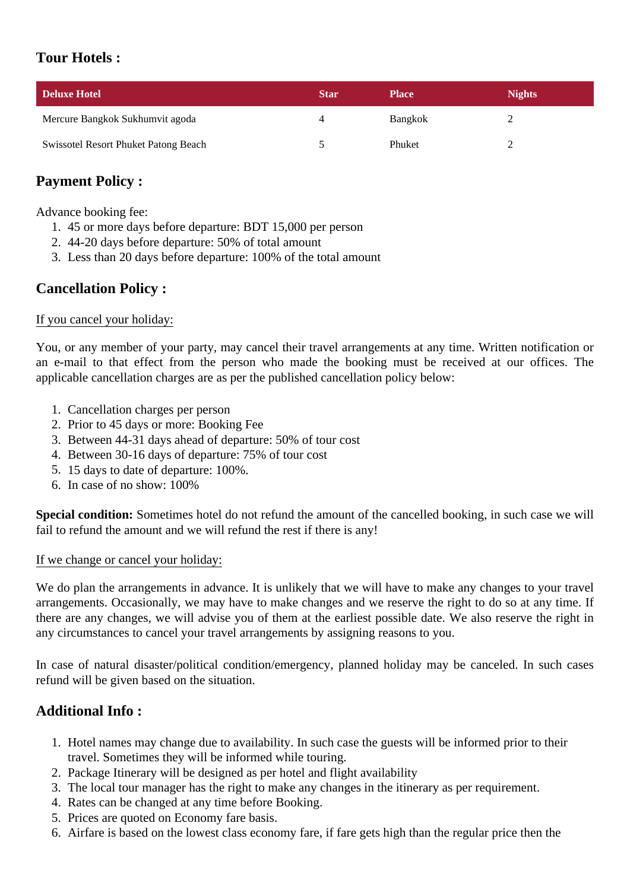# **Tour Hotels :**

| Deluxe Hotel                         | <b>Star</b> | <b>Place</b> | <b>Nights</b> |
|--------------------------------------|-------------|--------------|---------------|
| Mercure Bangkok Sukhumvit agoda      |             | Bangkok      |               |
| Swissotel Resort Phuket Patong Beach |             | Phuket       |               |

# **Payment Policy :**

Advance booking fee:

- 1. 45 or more days before departure: BDT 15,000 per person
- 2. 44-20 days before departure: 50% of total amount
- 3. Less than 20 days before departure: 100% of the total amount

# **Cancellation Policy :**

## If you cancel your holiday:

You, or any member of your party, may cancel their travel arrangements at any time. Written notification or an e-mail to that effect from the person who made the booking must be received at our offices. The applicable cancellation charges are as per the published cancellation policy below:

- 1. Cancellation charges per person
- 2. Prior to 45 days or more: Booking Fee
- 3. Between 44-31 days ahead of departure: 50% of tour cost
- 4. Between 30-16 days of departure: 75% of tour cost
- 5. 15 days to date of departure: 100%.
- 6. In case of no show: 100%

**Special condition:** Sometimes hotel do not refund the amount of the cancelled booking, in such case we will fail to refund the amount and we will refund the rest if there is any!

## If we change or cancel your holiday:

We do plan the arrangements in advance. It is unlikely that we will have to make any changes to your travel arrangements. Occasionally, we may have to make changes and we reserve the right to do so at any time. If there are any changes, we will advise you of them at the earliest possible date. We also reserve the right in any circumstances to cancel your travel arrangements by assigning reasons to you.

In case of natural disaster/political condition/emergency, planned holiday may be canceled. In such cases refund will be given based on the situation.

# **Additional Info :**

- 1. Hotel names may change due to availability. In such case the guests will be informed prior to their travel. Sometimes they will be informed while touring.
- 2. Package Itinerary will be designed as per hotel and flight availability
- 3. The local tour manager has the right to make any changes in the itinerary as per requirement.
- 4. Rates can be changed at any time before Booking.
- 5. Prices are quoted on Economy fare basis.
- 6. Airfare is based on the lowest class economy fare, if fare gets high than the regular price then the